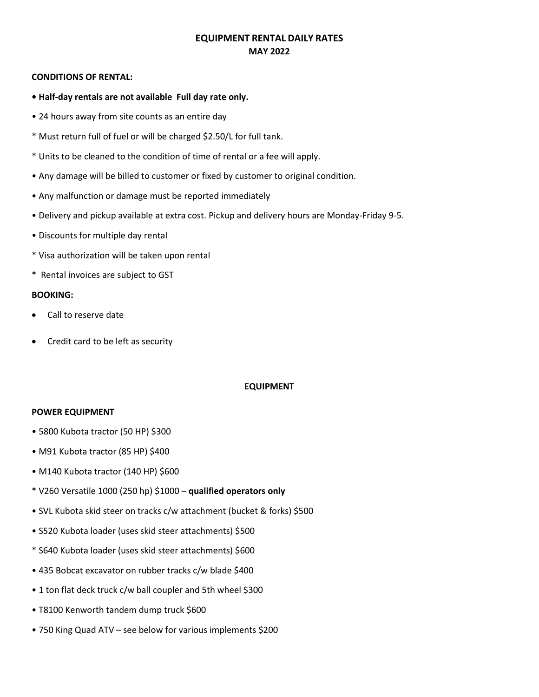# **EQUIPMENT RENTAL DAILY RATES MAY 2022**

#### **CONDITIONS OF RENTAL:**

- **Half-day rentals are not available Full day rate only.**
- 24 hours away from site counts as an entire day
- \* Must return full of fuel or will be charged \$2.50/L for full tank.
- \* Units to be cleaned to the condition of time of rental or a fee will apply.
- Any damage will be billed to customer or fixed by customer to original condition.
- Any malfunction or damage must be reported immediately
- Delivery and pickup available at extra cost. Pickup and delivery hours are Monday-Friday 9-5.
- Discounts for multiple day rental
- \* Visa authorization will be taken upon rental
- \* Rental invoices are subject to GST

#### **BOOKING:**

- Call to reserve date
- Credit card to be left as security

# **EQUIPMENT**

#### **POWER EQUIPMENT**

- 5800 Kubota tractor (50 HP) \$300
- M91 Kubota tractor (85 HP) \$400
- M140 Kubota tractor (140 HP) \$600
- \* V260 Versatile 1000 (250 hp) \$1000 **qualified operators only**
- SVL Kubota skid steer on tracks c/w attachment (bucket & forks) \$500
- S520 Kubota loader (uses skid steer attachments) \$500
- \* S640 Kubota loader (uses skid steer attachments) \$600
- 435 Bobcat excavator on rubber tracks c/w blade \$400
- 1 ton flat deck truck c/w ball coupler and 5th wheel \$300
- T8100 Kenworth tandem dump truck \$600
- 750 King Quad ATV see below for various implements \$200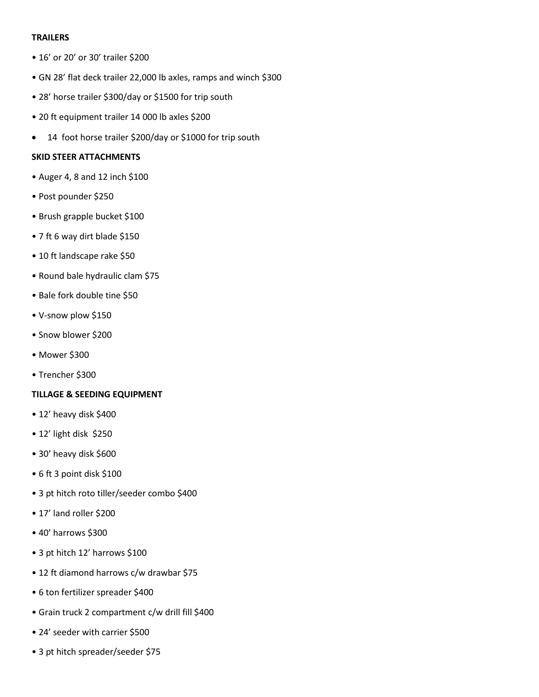# **TRAILERS**

- 16' or 20' or 30' trailer \$200
- GN 28' flat deck trailer 22,000 lb axles, ramps and winch \$300
- 28' horse trailer \$300/day or \$1500 for trip south
- 20 ft equipment trailer 14 000 lb axles \$200
- 14 foot horse trailer \$200/day or \$1000 for trip south

## **SKID STEER ATTACHMENTS**

- Auger 4, 8 and 12 inch \$100
- Post pounder \$250
- Brush grapple bucket \$100
- 7 ft 6 way dirt blade \$150
- 10 ft landscape rake \$50
- Round bale hydraulic clam \$75
- Bale fork double tine \$50
- V-snow plow \$150
- Snow blower \$200
- Mower \$300
- Trencher \$300

#### **TILLAGE & SEEDING EQUIPMENT**

- 12' heavy disk \$400
- 12' light disk \$250
- 30' heavy disk \$600
- 6 ft 3 point disk \$100
- 3 pt hitch roto tiller/seeder combo \$400
- 17' land roller \$200
- 40' harrows \$300
- 3 pt hitch 12' harrows \$100
- 12 ft diamond harrows c/w drawbar \$75
- 6 ton fertilizer spreader \$400
- Grain truck 2 compartment c/w drill fill \$400
- 24' seeder with carrier \$500
- 3 pt hitch spreader/seeder \$75